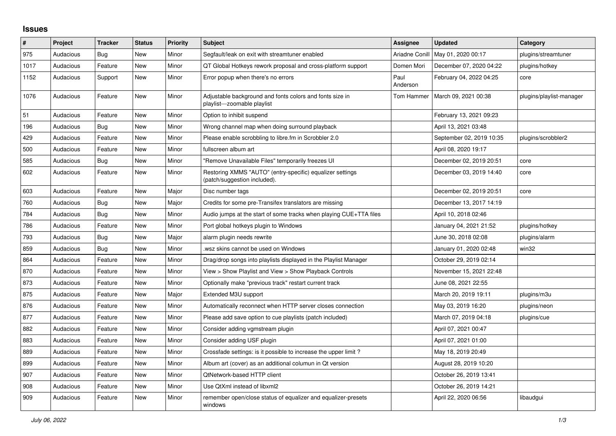## **Issues**

| $\#$ | Project   | <b>Tracker</b> | <b>Status</b> | <b>Priority</b> | <b>Subject</b>                                                                            | Assignee         | <b>Updated</b>           | Category                 |
|------|-----------|----------------|---------------|-----------------|-------------------------------------------------------------------------------------------|------------------|--------------------------|--------------------------|
| 975  | Audacious | <b>Bug</b>     | New           | Minor           | Segfault/leak on exit with streamtuner enabled                                            | Ariadne Conill   | May 01, 2020 00:17       | plugins/streamtuner      |
| 1017 | Audacious | Feature        | New           | Minor           | QT Global Hotkeys rework proposal and cross-platform support                              | Domen Mori       | December 07, 2020 04:22  | plugins/hotkey           |
| 1152 | Audacious | Support        | New           | Minor           | Error popup when there's no errors                                                        | Paul<br>Anderson | February 04, 2022 04:25  | core                     |
| 1076 | Audacious | Feature        | New           | Minor           | Adjustable background and fonts colors and fonts size in<br>playlist---zoomable playlist  | Tom Hammer       | March 09, 2021 00:38     | plugins/playlist-manager |
| 51   | Audacious | Feature        | New           | Minor           | Option to inhibit suspend                                                                 |                  | February 13, 2021 09:23  |                          |
| 196  | Audacious | Bug            | New           | Minor           | Wrong channel map when doing surround playback                                            |                  | April 13, 2021 03:48     |                          |
| 429  | Audacious | Feature        | New           | Minor           | Please enable scrobbling to libre.fm in Scrobbler 2.0                                     |                  | September 02, 2019 10:35 | plugins/scrobbler2       |
| 500  | Audacious | Feature        | New           | Minor           | fullscreen album art                                                                      |                  | April 08, 2020 19:17     |                          |
| 585  | Audacious | Bug            | New           | Minor           | "Remove Unavailable Files" temporarily freezes UI                                         |                  | December 02, 2019 20:51  | core                     |
| 602  | Audacious | Feature        | New           | Minor           | Restoring XMMS "AUTO" (entry-specific) equalizer settings<br>(patch/suggestion included). |                  | December 03, 2019 14:40  | core                     |
| 603  | Audacious | Feature        | New           | Major           | Disc number tags                                                                          |                  | December 02, 2019 20:51  | core                     |
| 760  | Audacious | Bug            | <b>New</b>    | Major           | Credits for some pre-Transifex translators are missing                                    |                  | December 13, 2017 14:19  |                          |
| 784  | Audacious | Bug            | <b>New</b>    | Minor           | Audio jumps at the start of some tracks when playing CUE+TTA files                        |                  | April 10, 2018 02:46     |                          |
| 786  | Audacious | Feature        | New           | Minor           | Port global hotkeys plugin to Windows                                                     |                  | January 04, 2021 21:52   | plugins/hotkey           |
| 793  | Audacious | Bug            | New           | Major           | alarm plugin needs rewrite                                                                |                  | June 30, 2018 02:08      | plugins/alarm            |
| 859  | Audacious | Bug            | New           | Minor           | wsz skins cannot be used on Windows                                                       |                  | January 01, 2020 02:48   | win32                    |
| 864  | Audacious | Feature        | New           | Minor           | Drag/drop songs into playlists displayed in the Playlist Manager                          |                  | October 29, 2019 02:14   |                          |
| 870  | Audacious | Feature        | <b>New</b>    | Minor           | View > Show Playlist and View > Show Playback Controls                                    |                  | November 15, 2021 22:48  |                          |
| 873  | Audacious | Feature        | New           | Minor           | Optionally make "previous track" restart current track                                    |                  | June 08, 2021 22:55      |                          |
| 875  | Audacious | Feature        | <b>New</b>    | Major           | Extended M3U support                                                                      |                  | March 20, 2019 19:11     | plugins/m3u              |
| 876  | Audacious | Feature        | New           | Minor           | Automatically reconnect when HTTP server closes connection                                |                  | May 03, 2019 16:20       | plugins/neon             |
| 877  | Audacious | Feature        | New           | Minor           | Please add save option to cue playlists (patch included)                                  |                  | March 07, 2019 04:18     | plugins/cue              |
| 882  | Audacious | Feature        | New           | Minor           | Consider adding vgmstream plugin                                                          |                  | April 07, 2021 00:47     |                          |
| 883  | Audacious | Feature        | New           | Minor           | Consider adding USF plugin                                                                |                  | April 07, 2021 01:00     |                          |
| 889  | Audacious | Feature        | <b>New</b>    | Minor           | Crossfade settings: is it possible to increase the upper limit?                           |                  | May 18, 2019 20:49       |                          |
| 899  | Audacious | Feature        | <b>New</b>    | Minor           | Album art (cover) as an additional columun in Qt version                                  |                  | August 28, 2019 10:20    |                          |
| 907  | Audacious | Feature        | New           | Minor           | QtNetwork-based HTTP client                                                               |                  | October 26, 2019 13:41   |                          |
| 908  | Audacious | Feature        | New           | Minor           | Use QtXml instead of libxml2                                                              |                  | October 26, 2019 14:21   |                          |
| 909  | Audacious | Feature        | New           | Minor           | remember open/close status of equalizer and equalizer-presets<br>windows                  |                  | April 22, 2020 06:56     | libaudgui                |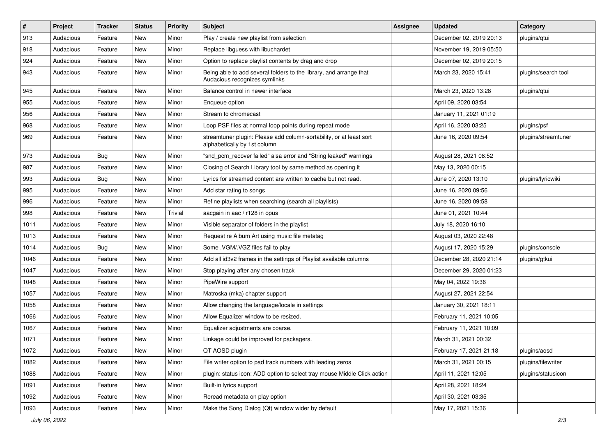| $\vert$ # | Project   | <b>Tracker</b> | <b>Status</b> | <b>Priority</b> | <b>Subject</b>                                                                                      | <b>Assignee</b> | <b>Updated</b>          | Category            |
|-----------|-----------|----------------|---------------|-----------------|-----------------------------------------------------------------------------------------------------|-----------------|-------------------------|---------------------|
| 913       | Audacious | Feature        | New           | Minor           | Play / create new playlist from selection                                                           |                 | December 02, 2019 20:13 | plugins/qtui        |
| 918       | Audacious | Feature        | <b>New</b>    | Minor           | Replace libguess with libuchardet                                                                   |                 | November 19, 2019 05:50 |                     |
| 924       | Audacious | Feature        | New           | Minor           | Option to replace playlist contents by drag and drop                                                |                 | December 02, 2019 20:15 |                     |
| 943       | Audacious | Feature        | New           | Minor           | Being able to add several folders to the library, and arrange that<br>Audacious recognizes symlinks |                 | March 23, 2020 15:41    | plugins/search tool |
| 945       | Audacious | Feature        | New           | Minor           | Balance control in newer interface                                                                  |                 | March 23, 2020 13:28    | plugins/qtui        |
| 955       | Audacious | Feature        | New           | Minor           | Enqueue option                                                                                      |                 | April 09, 2020 03:54    |                     |
| 956       | Audacious | Feature        | New           | Minor           | Stream to chromecast                                                                                |                 | January 11, 2021 01:19  |                     |
| 968       | Audacious | Feature        | New           | Minor           | Loop PSF files at normal loop points during repeat mode                                             |                 | April 16, 2020 03:25    | plugins/psf         |
| 969       | Audacious | Feature        | <b>New</b>    | Minor           | streamtuner plugin: Please add column-sortability, or at least sort<br>alphabetically by 1st column |                 | June 16, 2020 09:54     | plugins/streamtuner |
| 973       | Audacious | <b>Bug</b>     | New           | Minor           | "snd_pcm_recover failed" alsa error and "String leaked" warnings                                    |                 | August 28, 2021 08:52   |                     |
| 987       | Audacious | Feature        | New           | Minor           | Closing of Search Library tool by same method as opening it                                         |                 | May 13, 2020 00:15      |                     |
| 993       | Audacious | Bug            | New           | Minor           | Lyrics for streamed content are written to cache but not read.                                      |                 | June 07, 2020 13:10     | plugins/lyricwiki   |
| 995       | Audacious | Feature        | <b>New</b>    | Minor           | Add star rating to songs                                                                            |                 | June 16, 2020 09:56     |                     |
| 996       | Audacious | Feature        | New           | Minor           | Refine playlists when searching (search all playlists)                                              |                 | June 16, 2020 09:58     |                     |
| 998       | Audacious | Feature        | New           | Trivial         | aacgain in aac / r128 in opus                                                                       |                 | June 01, 2021 10:44     |                     |
| 1011      | Audacious | Feature        | <b>New</b>    | Minor           | Visible separator of folders in the playlist                                                        |                 | July 18, 2020 16:10     |                     |
| 1013      | Audacious | Feature        | New           | Minor           | Request re Album Art using music file metatag                                                       |                 | August 03, 2020 22:48   |                     |
| 1014      | Audacious | <b>Bug</b>     | <b>New</b>    | Minor           | Some .VGM/.VGZ files fail to play                                                                   |                 | August 17, 2020 15:29   | plugins/console     |
| 1046      | Audacious | Feature        | New           | Minor           | Add all id3v2 frames in the settings of Playlist available columns                                  |                 | December 28, 2020 21:14 | plugins/gtkui       |
| 1047      | Audacious | Feature        | New           | Minor           | Stop playing after any chosen track                                                                 |                 | December 29, 2020 01:23 |                     |
| 1048      | Audacious | Feature        | <b>New</b>    | Minor           | PipeWire support                                                                                    |                 | May 04, 2022 19:36      |                     |
| 1057      | Audacious | Feature        | New           | Minor           | Matroska (mka) chapter support                                                                      |                 | August 27, 2021 22:54   |                     |
| 1058      | Audacious | Feature        | New           | Minor           | Allow changing the language/locale in settings                                                      |                 | January 30, 2021 18:11  |                     |
| 1066      | Audacious | Feature        | New           | Minor           | Allow Equalizer window to be resized.                                                               |                 | February 11, 2021 10:05 |                     |
| 1067      | Audacious | Feature        | New           | Minor           | Equalizer adjustments are coarse.                                                                   |                 | February 11, 2021 10:09 |                     |
| 1071      | Audacious | Feature        | <b>New</b>    | Minor           | Linkage could be improved for packagers.                                                            |                 | March 31, 2021 00:32    |                     |
| 1072      | Audacious | Feature        | New           | Minor           | QT AOSD plugin                                                                                      |                 | February 17, 2021 21:18 | plugins/aosd        |
| 1082      | Audacious | Feature        | New           | Minor           | File writer option to pad track numbers with leading zeros                                          |                 | March 31, 2021 00:15    | plugins/filewriter  |
| 1088      | Audacious | Feature        | New           | Minor           | plugin: status icon: ADD option to select tray mouse Middle Click action                            |                 | April 11, 2021 12:05    | plugins/statusicon  |
| 1091      | Audacious | Feature        | New           | Minor           | Built-in lyrics support                                                                             |                 | April 28, 2021 18:24    |                     |
| 1092      | Audacious | Feature        | New           | Minor           | Reread metadata on play option                                                                      |                 | April 30, 2021 03:35    |                     |
| 1093      | Audacious | Feature        | New           | Minor           | Make the Song Dialog (Qt) window wider by default                                                   |                 | May 17, 2021 15:36      |                     |